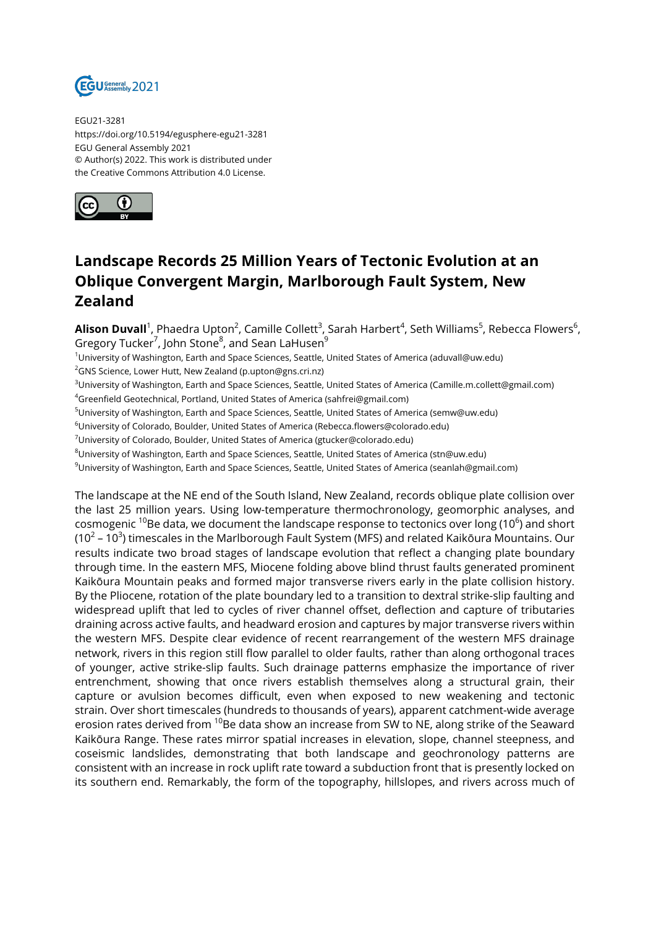

EGU21-3281 https://doi.org/10.5194/egusphere-egu21-3281 EGU General Assembly 2021 © Author(s) 2022. This work is distributed under the Creative Commons Attribution 4.0 License.



## **Landscape Records 25 Million Years of Tectonic Evolution at an Oblique Convergent Margin, Marlborough Fault System, New Zealand**

**Alison Duvall**<sup>1</sup>, Phaedra Upton<sup>2</sup>, Camille Collett<sup>3</sup>, Sarah Harbert<sup>4</sup>, Seth Williams<sup>5</sup>, Rebecca Flowers<sup>6</sup>, Gregory Tucker<sup>7</sup>, John Stone<sup>8</sup>, and Sean LaHusen<sup>9</sup>

<sup>1</sup>University of Washington, Earth and Space Sciences, Seattle, United States of America (aduvall@uw.edu)

<sup>2</sup>GNS Science, Lower Hutt, New Zealand (p.upton@gns.cri.nz)

<sup>3</sup>University of Washington, Earth and Space Sciences, Seattle, United States of America (Camille.m.collett@gmail.com)

<sup>4</sup>Greenfield Geotechnical, Portland, United States of America (sahfrei@gmail.com)

<sup>5</sup>University of Washington, Earth and Space Sciences, Seattle, United States of America (semw@uw.edu)

<sup>6</sup>University of Colorado, Boulder, United States of America (Rebecca.flowers@colorado.edu)

<sup>7</sup>University of Colorado, Boulder, United States of America (gtucker@colorado.edu)

 $8$ University of Washington, Earth and Space Sciences, Seattle, United States of America (stn@uw.edu)

<sup>9</sup>University of Washington, Earth and Space Sciences, Seattle, United States of America (seanlah@gmail.com)

The landscape at the NE end of the South Island, New Zealand, records oblique plate collision over the last 25 million years. Using low-temperature thermochronology, geomorphic analyses, and cosmogenic  $^{10}$ Be data, we document the landscape response to tectonics over long (10 $^{6}$ ) and short (10 $^2$  – 10 $^3$ ) timescales in the Marlborough Fault System (MFS) and related Kaikōura Mountains. Our results indicate two broad stages of landscape evolution that reflect a changing plate boundary through time. In the eastern MFS, Miocene folding above blind thrust faults generated prominent Kaikōura Mountain peaks and formed major transverse rivers early in the plate collision history. By the Pliocene, rotation of the plate boundary led to a transition to dextral strike-slip faulting and widespread uplift that led to cycles of river channel offset, deflection and capture of tributaries draining across active faults, and headward erosion and captures by major transverse rivers within the western MFS. Despite clear evidence of recent rearrangement of the western MFS drainage network, rivers in this region still flow parallel to older faults, rather than along orthogonal traces of younger, active strike-slip faults. Such drainage patterns emphasize the importance of river entrenchment, showing that once rivers establish themselves along a structural grain, their capture or avulsion becomes difficult, even when exposed to new weakening and tectonic strain. Over short timescales (hundreds to thousands of years), apparent catchment-wide average erosion rates derived from  $^{10}$ Be data show an increase from SW to NE, along strike of the Seaward Kaikōura Range. These rates mirror spatial increases in elevation, slope, channel steepness, and coseismic landslides, demonstrating that both landscape and geochronology patterns are consistent with an increase in rock uplift rate toward a subduction front that is presently locked on its southern end. Remarkably, the form of the topography, hillslopes, and rivers across much of